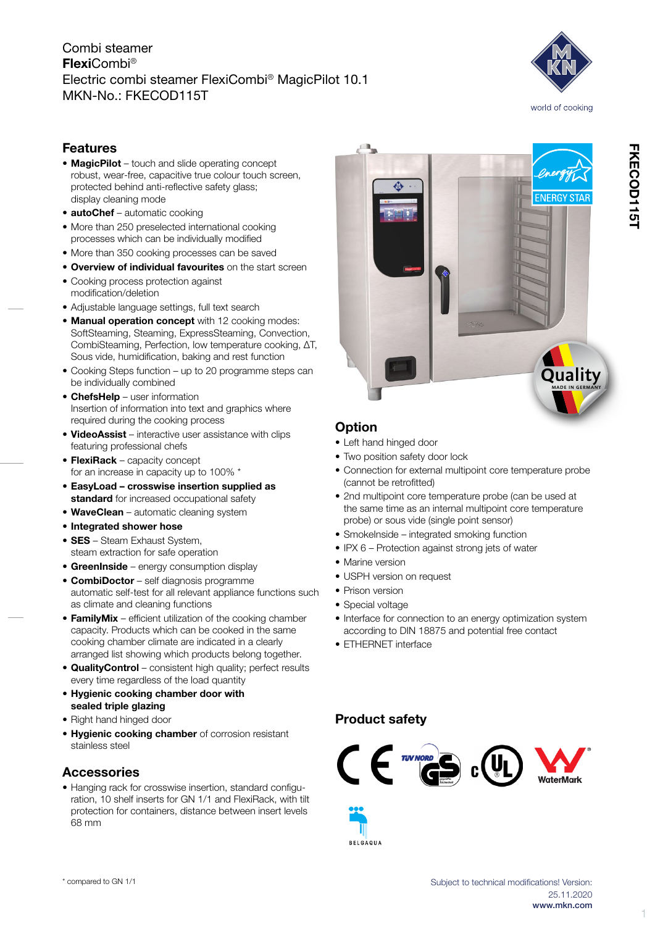### Combi steamer FlexiCombi® Electric combi steamer FlexiCombi® MagicPilot 10.1 MKN-No.: FKECOD115T



## Features

- MagicPilot touch and slide operating concept robust, wear-free, capacitive true colour touch screen, protected behind anti-reflective safety glass; display cleaning mode
- **autoChef** automatic cooking
- More than 250 preselected international cooking processes which can be individually modified
- More than 350 cooking processes can be saved
- Overview of individual favourites on the start screen • Cooking process protection against
- modification/deletion
- • Adjustable language settings, full text search
- Manual operation concept with 12 cooking modes: SoftSteaming, Steaming, ExpressSteaming, Convection, CombiSteaming, Perfection, low temperature cooking, ΔT, Sous vide, humidification, baking and rest function
- Cooking Steps function up to 20 programme steps can be individually combined
- ChefsHelp user information Insertion of information into text and graphics where required during the cooking process
- VideoAssist interactive user assistance with clips featuring professional chefs
- FlexiRack capacity concept for an increase in capacity up to 100% \*
- • EasyLoad crosswise insertion supplied as standard for increased occupational safety
- WaveClean automatic cleaning system
- Integrated shower hose
- **SES** Steam Exhaust System, steam extraction for safe operation
- GreenInside energy consumption display
- **CombiDoctor** self diagnosis programme automatic self-test for all relevant appliance functions such as climate and cleaning functions
- FamilyMix efficient utilization of the cooking chamber capacity. Products which can be cooked in the same cooking chamber climate are indicated in a clearly arranged list showing which products belong together.
- • QualityControl consistent high quality; perfect results every time regardless of the load quantity
- • Hygienic cooking chamber door with sealed triple glazing
- Right hand hinged door
- Hygienic cooking chamber of corrosion resistant stainless steel

#### **Accessories**

• Hanging rack for crosswise insertion, standard configuration, 10 shelf inserts for GN 1/1 and FlexiRack, with tilt protection for containers, distance between insert levels 68 mm



### **Option**

- Left hand hinged door
- Two position safety door lock
- • Connection for external multipoint core temperature probe (cannot be retrofitted)
- 2nd multipoint core temperature probe (can be used at the same time as an internal multipoint core temperature probe) or sous vide (single point sensor)
- Smokelnside integrated smoking function
- IPX 6 Protection against strong jets of water
- Marine version
- USPH version on request
- Prison version
- Special voltage
- Interface for connection to an energy optimization system according to DIN 18875 and potential free contact
- ETHERNET interface

#### Product safety

**BELGAQUA** 



1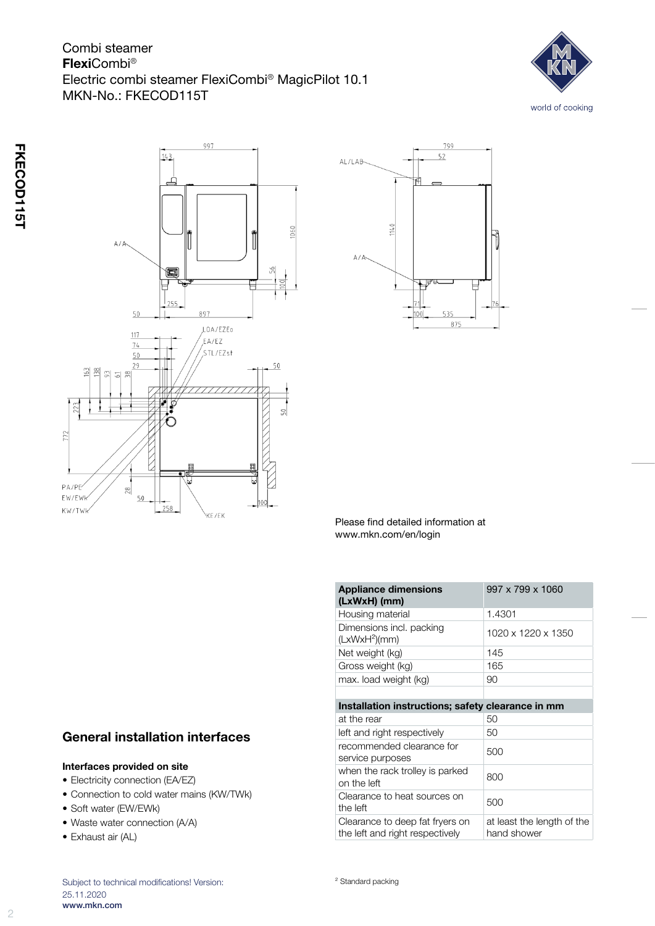# Combi steamer FlexiCombi® Electric combi steamer FlexiCombi® MagicPilot 10.1 MKN-No.: FKECOD115T







Please find detailed information at www.mkn.com/en/login

| <b>Appliance dimensions</b><br>(LxWxH) (mm)                        | 997 x 799 x 1060                          |
|--------------------------------------------------------------------|-------------------------------------------|
| Housing material                                                   | 1.4301                                    |
| Dimensions incl. packing<br>(LxWxH <sup>2</sup> )(mm)              | 1020 x 1220 x 1350                        |
| Net weight (kg)                                                    | 145                                       |
| Gross weight (kg)                                                  | 165                                       |
| max. load weight (kg)                                              | 90                                        |
|                                                                    |                                           |
| Installation instructions; safety clearance in mm                  |                                           |
| at the rear                                                        | 50                                        |
| left and right respectively                                        | 50                                        |
| recommended clearance for<br>service purposes                      | 500                                       |
| when the rack trolley is parked<br>on the left                     | 800                                       |
| Clearance to heat sources on<br>the left                           | 500                                       |
| Clearance to deep fat fryers on<br>the left and right respectively | at least the length of the<br>hand shower |

# General installation interfaces

#### Interfaces provided on site

- Electricity connection (EA/EZ)
- • Connection to cold water mains (KW/TWk)
- Soft water (EW/EWk)
- Waste water connection (A/A)
- Exhaust air (AL)

Subject to technical modifications! Version: 25.11.2020 www.mkn.com

² Standard packing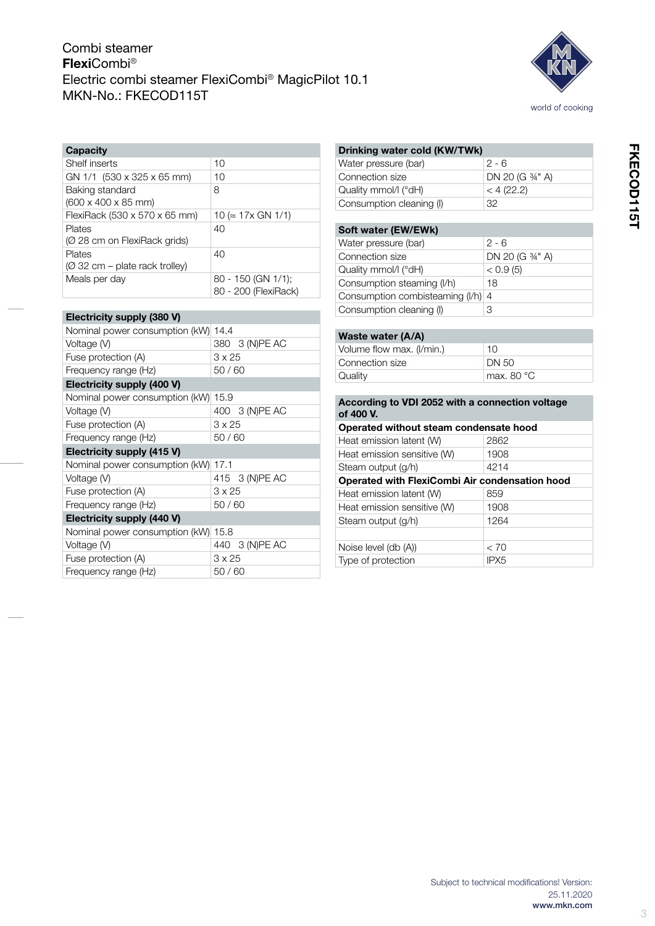# Combi steamer FlexiCombi® Electric combi steamer FlexiCombi® MagicPilot 10.1 MKN-No.: FKECOD115T



| <b>Capacity</b>                                    |                                            |
|----------------------------------------------------|--------------------------------------------|
| Shelf inserts                                      | 10                                         |
| GN 1/1 (530 x 325 x 65 mm)                         | 10                                         |
| Baking standard<br>$(600 \times 400 \times 85$ mm) | 8                                          |
| FlexiRack (530 x 570 x 65 mm)                      | $10 \approx 17 \times$ GN 1/1)             |
| Plates<br>(Ø 28 cm on FlexiRack grids)             | 40                                         |
| Plates<br>(Ø 32 cm – plate rack trolley)           | 40                                         |
| Meals per day                                      | 80 - 150 (GN 1/1);<br>80 - 200 (FlexiRack) |

| Electricity supply (380 V)          |                |
|-------------------------------------|----------------|
| Nominal power consumption (kW) 14.4 |                |
| Voltage (V)                         | 380 3 (N)PE AC |
| Fuse protection (A)                 | $3 \times 25$  |
| Frequency range (Hz)                | 50/60          |
| Electricity supply (400 V)          |                |
| Nominal power consumption (kW)      | 15.9           |
| Voltage (V)                         | 400 3 (N)PE AC |
| Fuse protection (A)                 | 3 x 25         |
| Frequency range (Hz)                | 50/60          |
| Electricity supply (415 V)          |                |
| Nominal power consumption (kW)      | 17.1           |
| Voltage (V)                         | 415 3 (N)PE AC |
| Fuse protection (A)                 | 3 x 25         |
| Frequency range (Hz)                | 50/60          |
| Electricity supply (440 V)          |                |
| Nominal power consumption (kW)      | 15.8           |
| Voltage (V)                         | 440 3 (N)PE AC |
| Fuse protection (A)                 | $3 \times 25$  |
| Frequency range (Hz)                | 50/60          |

| Drinking water cold (KW/TWk)                    |                     |
|-------------------------------------------------|---------------------|
| Water pressure (bar)                            | 2 - 6               |
| Connection size                                 | DN 20 (G 3/4" A)    |
| Quality mmol/l (°dH)                            | < 4 (22.2)          |
| Consumption cleaning (I)                        | 32                  |
|                                                 |                     |
| Soft water (EW/EWk)                             |                     |
| Water pressure (bar)                            | $2 - 6$             |
| Connection size                                 | DN 20 (G 34" A)     |
| Quality mmol/l (°dH)                            | < 0.9(5)            |
| Consumption steaming (I/h)                      | 18                  |
| Consumption combisteaming (I/h) 4               |                     |
| Consumption cleaning (I)                        | 3                   |
|                                                 |                     |
| Waste water (A/A)                               |                     |
| Volume flow max. (I/min.)                       | 10                  |
| Connection size                                 | DN 50               |
| Quality                                         | max, $80^{\circ}$ C |
|                                                 |                     |
| According to VDI 2052 with a connection voltage |                     |
| of 400 V.                                       |                     |
| Operated without steam condensate hood          |                     |
| Heat emission latent (W)                        | 2862                |
| Heat emission sensitive (W)                     | 1908                |
| Steam output (g/h)                              | 4214                |

Operated with FlexiCombi Air condensation hood

Heat emission latent (W) 859 Heat emission sensitive (W) 1908 Steam output (g/h) 1264

Noise level (db (A))  $< 70$ <br>Type of protection IPX5

Type of protection

| www.mkn.com                                  |            |
|----------------------------------------------|------------|
|                                              | 25.11.2020 |
| Subject to technical modifications! Version: |            |